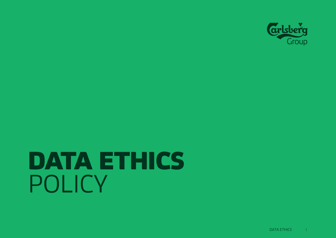

# DATA ETHICS POLICY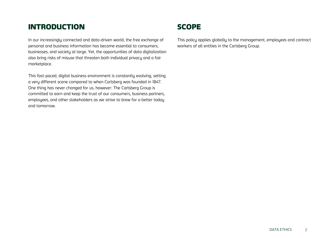### INTRODUCTION

In our increasingly connected and data-driven world, the free exchange of personal and business information has become essential to consumers, businesses, and society at large. Yet, the opportunities of data digitalization also bring risks of misuse that threaten both individual privacy and a fair marketplace.

This fast-paced, digital business environment is constantly evolving, setting a very different scene compared to when Carlsberg was founded in 1847. One thing has never changed for us, however: The Carlsberg Group is committed to earn and keep the trust of our consumers, business partners, employees, and other stakeholders as we strive to brew for a better today and tomorrow.

## **SCOPE**

This policy applies globally to the management, employees and contract workers of all entities in the Carlsberg Group.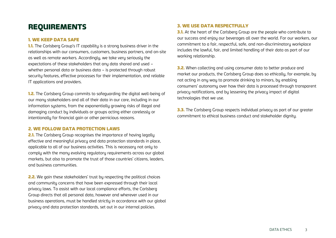## REQUIREMENTS

#### 1. WE KEEP DATA SAFE

**1.1.** The Carlsberg Group's IT capability is a strong business driver in the relationships with our consumers, customers, business partners, and on-site as well as remote workers. Accordingly, we take very seriously the expectations of these stakeholders that any data shared and used – whether personal data or business data – is protected through robust security features, effective processes for their implementation, and reliable IT applications and providers.

**1.2.** The Carlsberg Group commits to safeguarding the digital well-being of our many stakeholders and all of their data in our care, including in our information systems, from the exponentially growing risks of illegal and damaging conduct by individuals or groups acting either carelessly or intentionally for financial gain or other pernicious reasons.

#### 2. WE FOLLOW DATA PROTECTION LAWS

**2.1.** The Carlsberg Group recognises the importance of having legally effective and meaningful privacy and data protection standards in place, applicable to all of our business activities. This is necessary not only to comply with the many evolving regulatory requirements across our global markets, but also to promote the trust of those countries' citizens, leaders, and business communities.

2.2. We gain these stakeholders' trust by respecting the political choices and community concerns that have been expressed through their local privacy laws. To assist with our local compliance efforts, the Carlsberg Group directs that all personal data, however and wherever used in our business operations, must be handled strictly in accordance with our global privacy and data protection standards, set out in our internal policies.

#### 3. WE USE DATA RESPECTFULLY

**3.1.** At the heart of the Carlsberg Group are the people who contribute to our success and enjoy our beverages all over the world. For our workers, our commitment to a fair, respectful, safe, and non-discriminatory workplace includes the lawful, fair, and limited handling of their data as part of our working relationship.

**3.2.** When collecting and using consumer data to better produce and market our products, the Carlsberg Group does so ethically, for example, by not acting in any way to promote drinking to minors, by enabling consumers' autonomy over how their data is processed through transparent privacy notifications, and by lessening the privacy impact of digital technologies that we use.

**3.3.** The Carlsberg Group respects individual privacy as part of our greater commitment to ethical business conduct and stakeholder dignity.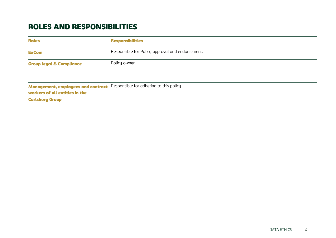## ROLES AND RESPONSIBILITIES

| <b>Roles</b>                                                                | <b>Responsibilities</b>                          |
|-----------------------------------------------------------------------------|--------------------------------------------------|
| <b>ExCom</b>                                                                | Responsible for Policy approval and endorsement. |
| <b>Group legal &amp; Compliance</b>                                         | Policy owner.                                    |
| <b>Management, employees and contract</b><br>workers of all entities in the | Responsible for adhering to this policy.         |
| <b>Carlsberg Group</b>                                                      |                                                  |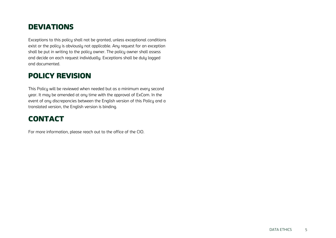## **DEVIATIONS**

Exceptions to this policy shall not be granted, unless exceptional conditions exist or the policy is obviously not applicable. Any request for an exception shall be put in writing to the policy owner. The policy owner shall assess and decide on each request individually. Exceptions shall be duly logged and documented.

## POLICY REVISION

This Policy will be reviewed when needed but as a minimum every second year. It may be amended at any time with the approval of ExCom. In the event of any discrepancies between the English version of this Policy and a translated version, the English version is binding.

## CONTACT

For more information, please reach out to the office of the CIO.